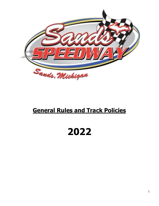

# **General Rules and Track Policies**

#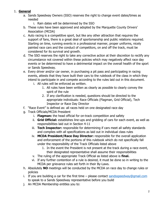#### 1. **General**

- a. Sands Speedway Owners (SSO) reserves the right to change event dates/times as needed
	- i. Rain dates will be determined by the SSO
- b. These rules have been approved and adopted by the Marquette County Drivers' Association (MCDA)
- c. Auto racing is a competitive sport, but like any other attraction that requires the support of fans, there is a great deal of sportsmanship and public relations required. Starting on time, running events in a professional manner, proper uniforms, nicely painted race cars and the conduct of competitors, on and off the track, must be considered for its survival and growth.
- d. The SSO reserves the right to take any corrective action at their discretion to rectify any circumstance not covered within these policies which may negatively affect race day events or be determined to have a detrimental impact on the overall health of the sport or Sands Speedway.
- e. Every driver and/or car owner, in purchasing a pit pass and participating in racing events, attests that they have built their cars to the rulebook of the class in which they intend to participate in and compete according to the rules laid out in this document.
	- i. All rules will be enforced as written.
		- 1. All rules have been written as clearly as possible to clearly convey the spirit of the rule
		- 2. If any clarification is needed, questions should be directed to the appropriate individuals: Race Officials (Flagman, Grid Official), Tech Inspector or Race Day Director
- f. "Race Event" is defined as: all races held on one designated race day
- g. Track Officials/MCDA President
	- i. **Flagman:** the head official for on-track competition and safety
	- ii. **Grid Official:** establishes line-ups and gridding of cars for each event, as well as responsibilities laid out in Section 4-11
	- iii. **Tech Inspector:** responsible for determining if cars meet all safety standards and complies with all specifications as laid out in individual class rules
	- iv. **MCDA President/Race Day Director:** responsible for the overall application and enforcement of the portions of this rulebook which do not specifically fall under the responsibility of the Track Officials listed above
		- 1. In the event the President is not present at the track during a race event, their designated representative shall assume their responsibilities
	- v. The ruling of the appropriate Track Official as listed above is **final.**
	- vi. If any further contention of a rule is desired, it must be done so in writing to the MCDA per grievance rules set forth in their By-Laws.
- h. Absolutely **NO** meetings will be conducted by the MCDA on race day to change rules or policies
- i. If you are building a car for the first time  $-$  please contact [sandsspeedway@gmail.com](mailto:sandsspeedway@gmail.com) to speak to a Sands Speedway representative before you build
- j. An MCDA Membership entitles you to: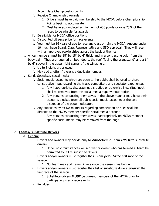- i. Accumulate Championship points
- ii. Receive Championship Awards
	- 1. Drivers must have paid membership to the MCDA before Championship Points begin to accumulate
	- 2. Must have accumulated a minimum of 400 points or race 75% of the races to be eligible for awards
- iii. Be eligible for MCDA office positions
- iv. Discounted pit pass price for race events
- v. You must be 16 years of age to race any class or join the MCDA. Anyone under 16 much have Board, Class Representative and SSO approval. They will race with an approved rookie stripe across the back of their car.
- k. All car numbers must be 18" by 18" by 4" thick, and in a contrasting color from the body pain. They are required on both doors, the roof (facing the grandstand) and a 6" by 6" sticker in the upper right corner of the windshield.
	- i. Up to 3 digits are allowed
	- ii. May add 1 letter if there is a duplicate number.
- l. Sands Speedway social media
	- i. Social media accounts which are open to the public shall be used to share constructive input regarding the track, competitors and spectator experiences
		- 1. Any inappropriate, disparaging, disruptive or otherwise ill-spirited input shall be removed from the social media page without notice
		- 2. Any persons conducting themselves in the above manner may have their accounts blocked from all public social media accounts at the sole discretion of the page moderators.
	- ii. Any questions by MCDA members regarding competition or rules shall be directed to the MCDA member specific social media account
		- 1. Any persons conducting themselves inappropriately on MCDA member specific social media may be removed from the page

## 2. **Teams/Substitute Drivers**

- a. General
	- i. Drivers and owners may decide only to **either** form a Team **OR** utilize substitute drivers
		- 1. Under no circumstances will a driver or owner who has formed a Team be permitted to utilize substitute drivers
	- ii. Drivers and/or owners must register their Team **prior to** the first race of the season
		- 1. No Team may add Team Drivers once the season has begun
	- iii. Drivers and/or owners must register their list of substitute drivers **prior to** the first race of the season
		- 1. Substitute drivers **MUST** be current members of the MCDA prior to participating in any race events
	- iv. Penalties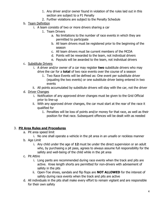- 1. Any driver and/or owner found in violation of the rules laid out in this section are subject to a P1 Penalty
- 2. Further violations are subject to the Penalty Schedule
- b. Team Definition
	- i. A team consists of two or more drivers sharing a car
		- 1. Team Drivers
			- a. No limitations to the number of race events in which they are permitted to participate
			- b. All team drivers must be registered prior to the beginning of the season
			- c. All team drivers must be current members of the MCDA
			- d. Points will be rewarded to the team, not individual drivers
			- e. Payouts will be awarded to the team, not individual drivers
- c. Substitute Drivers
	- i. A driver and/or owner of a car may register **two** substitute drivers who may drive the car for a **total** of two race events over the course of a season
		- 1. Two Race Events will be defined as: One event per substitute driver (equaling the two events) or one substitute driver being entered in two events
	- ii. All points accumulated by substitute drivers will stay with the car, not the driver
- d. Driver Changes
	- i. Notification of any approved driver changes must be given to the Grid Official prior to line-up
	- ii. With any approved driver changes, the car must start at the rear of the race it qualified for
		- 1. Penalties will be loss of points and/or money for that race, as well as their position for that race. Subsequent offences will be dealt with as needed

#### 3. **Pit Area Rules and Procedures**

- a. Pit area speed limit
	- i. No one shall operate a vehicle in the pit area in an unsafe or reckless manner
- b. Age Limit
	- i. Any child under the age of **12** must be under the direct supervision or an adult who, by purchasing a pit pass, agrees to always assume full responsibility for the safety and well-being of the child while in the pit area
- c. Pit Attire
	- i. Long pants are recommended during race events when the track and pits are active. Knee length shorts are permitted for non-drivers with advisement of safety in the pits
	- ii. Open-Toe shoes, sandals and flip flops are **NOT ALLOWED** for the interest of safety during race events when the track and pits are active
- d. All individuals in the pits shall make every effort to remain vigilant and are responsible for their own safety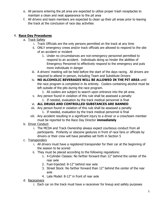- e. All persons entering the pit area are expected to utilize proper trash receptacles to maintain a clean and neat appearance to the pit area
- f. All drivers and team members are expected to clean up their pit areas prior to leaving the track at the conclusion of race day activities

#### 4. **Race Day Procedures**

- a. Track Safety
	- i. Track Officials are the only persons permitted on the track at any time
	- ii. ONLY emergency crews and/or track officials are allowed to respond to the site of an accident or incident
		- 1. Under no circumstances are non-emergency personnel permitted to respond to an accident. Individuals doing so hinder the abilities of Emergency Personnel to effectively respond to the emergency and puts more individuals in danger
	- iii. A drivers' meeting will be held before the start of the days racing. All drivers are required to attend in person, including Team and Substitute Drivers
	- iv. **NO ALCOHOLIC BEVERAGES WILL BE ALLOWED IN THE PIT AREA** until the race program is completed in its entirety. Coolers containing alcohol must be left outside of the pits during the race program.
		- 1. All coolers are subject to search upon entrance into the pit area.
	- v. Any person found in violation of this rule shall be assessed a penalty 1. If needed, evaluation by the track medical personnel is final

### vi. **ALL DRUGS AND CONTROLLED SUBSTANCES ARE BANNED**

- vii. Any person found in violation of this rule shall be assessed a penalty 1. If needed, evaluation by the track medical personnel is final
- viii. Any accident resulting in a significant injury to a driver or a crew/team member must be reported to the Race Day Director **immediately**
- b. Driver Conduct
	- i. The MCDA and Track Ownership always expect courteous conduct from all participants. Profanity or obscene gestures in front of race fans or officials by drivers or their crew will have penalties set forth in Section 5
- c. Transponders
	- i. All drivers must have a registered transponder for their car at the beginning of the season to be scored
	- ii. They must be placed according to the following regulations:
		- 1. 4-Cylinder Classes: No farther forward than 12" behind the center of the rear axle
		- 2. Fuel-Injected: 8-12" behind rear axle
		- 3. Street Stock: No farther forward than 12" behind the center of the rear axle
		- 4. Late Model: 8-12" in front of rear axle
- d. Raceceivers
	- i. Each car on the track must have a raceceiver for lineup and safety purposes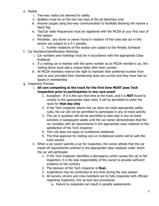- e. Radios
	- i. Two-way radios are allowed for safety
	- ii. Spotters must be on the two top rows of the pit bleachers only
	- iii. Anyone caught using two-way communication to facilitate blocking will receive a black flag
	- iv. Tea/Car radio frequencies must be registered with the MCDA at your first race of the season
	- v. Penalties: any driver or owner found in violation of the rules laid out in this section are subject to a P-1 penalty.
		- 1. Further violations of this section are subject to the Penalty Schedule
- f. Car Numbers/Identification Markings
	- i. Car numbers and markings must be in accordance with the appropriate Class Rulebook
	- ii. If a visiting car is marked with the same number as an MCDA member's car, the visiting driver must add a unique letter after their number
	- iii. All MCDA members reserve the right to maintain their preferred number from year to year provided their membership dues are current and they have had no lapses in membership
- g. Inspection Process
	- i. **All cars competing at the track for the first time MUST pass Tech Inspection prior to participation in any race event**
		- 1. Exception: If it is the cars first time at the track, and it is **NOT** found to comply to the appropriate class rules, it will be permitted to enter the races for **that day only**
		- 2. If the Tech Inspector deems the car does not meet appropriate safety rules, the car will not be permitted to participate in any on-track activity
		- 3. The car in question will not be permitted to take part in any on-track activities in subsequent weeks until the car owner demonstrates that the car complies with all requirements in the appropriate class rulebook to the satisfaction of the Tech Inspector
		- 4. This rule does not apply to invitational weekends
		- 5. The final approval for visiting cars on invitational events will lie with the track owners
	- ii. When a car owner submits a car for inspection, the owner attests that the car meets all requirements outlined in the appropriate class rulebook under which the car will participate
		- 1. If the Tech Inspector identifies a discrepancy which causes the car to fail inspection, it is the sole responsibility of the owner to provide sufficient evidence to the contrary
		- 2. The decision of the Tech Inspector is **final.**
		- 3. Inspections may be conducted at any time during the race season
		- 4. All owners, drivers and crew members are to fully cooperate with officials regarding inspection, line up and race procedures
			- a. Failure to cooperate can result in penalty assessments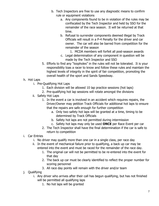- b. Tech Inspectors are free to use any diagnostic means to confirm rule or equipment violations
	- a. Any components found to be in violation of the rules may be confiscated by the Tech Inspector and held by SSO for the remainder of the race season. It will be returned at that time.
	- b. Refusal to surrender components deemed illegal by Track Officials will result in a P-4 Penalty for the driver and car owner. The car will also be barred from competition for the remainder of the season
		- 1. MCDA members will forfeit all post-season awards
	- c. Legal determination of any component in question will be made by the Tech Inspector and SSO
- 5. Efforts to find any "loopholes" in the rules will not be tolerated. It is your responsibility toas a racer to know and follow these rules and maintain the highest levels of integrity in the spirit of fair competition, promoting the overall health of the sport and Sands Speedway.

#### h. Hot Laps

- i. Pre-Qualifying Hot Laps
	- 1. Each division will be allowed 10 lap practice sessions (hot laps)
	- 2. Pre-qualifying hot lap sessions will rotate amongst the divisions
- ii. Safety Hot Laps
	- 1. In the event a car is involved in an accident which requires repairs, the Driver/Owner may petition Track Officials for additional hot laps to ensure that the repairs are safe enough for further competition
		- a. Only two safety hot laps will be granted at a time, timing to be determined by Track Officials
		- b. Safety hot laps are not permitted during intermission
		- c. Safety hot laps may only be used **ONCE** per Race Event per car
	- 2. The Tech Inspector shall have the final determination if the car is safe to return to competition

#### i. Car Entries

- i. No driver may qualify more than one car in a single class, per race day
- ii. In the event of mechanical failure prior to qualifying, a back up car may be entered into the event and must be raced for the remainder of the race day.
	- 1. The original car will not be permitted to be re-entered into the event for that day
	- 2. The back up car must be clearly identified to reflect the proper number for scoring personnel
	- 3. All race day points will remain with the driver and/or team
- j. Qualifying
	- i. Any driver who arrives after their call has begun qualifying, but has not finished will be permitted all qualifying laps
		- 1. No hot laps will be granted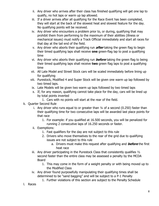- ii. Any driver who arrives after their class has finished qualifying will get one lap to qualify, no hot laps or warm up lap allowed.
- iii. If a driver arrives after all qualifying for the Race Event has been completed, they will start at the back of the slowest heat and slowest feature for the day. No qualifying points will be received.
- iv. Any driver who encounters a problem prior to, or during, qualifying that may prohibit them from performing to the maximum of their abilities (illness or mechanical issues) must notify a Track Official immediately and start all races for that day at the tail end of the field.
- v. Any driver who aborts their qualifying run **after** taking the green flag to begin their timed qualifying laps shall receive **one** green-flag lap to post a qualifying time
- vi. Any driver who aborts their qualifying run **before** taking the green flag to being their timed qualifying laps shall receive **two** green flag laps to post a qualifying time
- vii. All Late Model and Street Stock cars will be scaled immediately before lining up for qualifying
- viii. Purestock, Modified 4 and Super Stock will be given one warm up lap followed by two timed laps.
- ix. Late Models will be given two warm up laps followed by two timed laps
- x. If, for any reason, qualifying cannot take place for the day, cars will be lined up by total points inverted
	- 1. Cars with no points will start at the rear of the field.
- k. Quarter Second Rule
	- i. Any driver who runs equal to or greater than ¼ of a second (0.250) faster than their qualifying time for two consecutive laps will be awarded last place points for that race
		- 1. For example: if you qualified at 16.500 seconds, you will be penalized for running 2 consecutive laps of 16.250 seconds or faster.
	- ii. Exemptions:
		- 1. Fast qualifiers for the day are not subject to this rule
		- 2. Drivers who move themselves to the rear of the grid due to qualifying issues are not subject to this rule
			- a. Drivers must make this request after qualifying and **before** the first heat race
	- iii. Any driver participating in the Purestock Class that consistently qualifies ½ second faster than the entire class may be assessed a penalty by the MCDA Board
		- 1. This may come in the form of a weight penalty or with being moved up to the Modified Class
	- iv. Any driver found purposefully manipulating their qualifying times shall be determined to be "sand bagging" and will be subject to a P-1 Penalty
		- 1. Further violations of this section are subject to the Penalty Schedule
- l. Races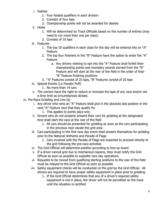- i. Dashes
	- 1. Four fastest qualifiers in each division
	- 2. Consists of four laps
	- 3. Championship points will not be awarded for dashes
- ii. Heats
	- 1. Will be determined by Track Officials based on the number of entries (may need to run more than one per class)
	- 2. Consists of 10 laps
- iii. Features
	- 1. The top 10 qualifiers in each class for the day will be entered into an "A" Feature
	- 2. The top four finishers in the "B" Feature have the option to enter the "A" Feature
		- a. Any drivers wishing to opt into the "A" Feature shall forfeit their championship points and monetary awards earned from the "B" Feature and will start at the rear of the field in the order of their "B" Feature finishing positions
	- 3. "A" Features consist of 25 laps, "B" Features consist of 20 laps
- iv. Special Events (i.e Powder Puff)
	- 1. No more than 14 cars
- v. The owners have the right to reduce or increase the laps of any race and/or set a time limit as circumstances dictate.
- m. Pre-Race Gridding and Line Up
	- i. Any driver who wins an "A" Feature shall grid in the absolute last position in the next "A" Feature race that they qualify for
		- 1. This applies to points days only
	- ii. Drivers who do not properly present their cars for gridding at the designated time shall start the race at the rear of the field
		- 1. All cars should be presented for gridding as soon as the cars participating in the previous race vacate the grid area
	- iii. Cars participating in the first race day event shall present themselves for gridding prior to the National Anthems and Parade of Flags
		- 1. Cars involved with the Parade of Flags are expected to proceed directly to the grid following the pre-race activities
	- iv. The Grid Official will determine position according to line-up board
	- v. If a driver cannot grid due to mechanical reasons, they must notify the Grid Official as soon as possible to expedite race day operations
	- vi. Requests to be moved from qualifying starting positions to the rear of the field must be relayed to the Grid Official as soon as possible
	- vii. Safety equipment checks will be conducted on the grid by the Grid Official. All drivers are required to have proper safety equipment in place prior to gridding
		- 1. If the Grid Official determines that any of a driver's required safety equipment is not in place, the driver will not be permitted on the track until the situation is rectified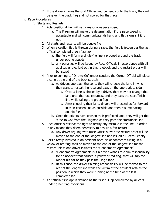- 2. If the driver ignores the Grid Official and proceeds onto the track, they will be given the black flag and not scored for that race
- n. Race Procedures
	- i. Starts and Restarts
		- 1. Pole position driver will set a reasonable pace speed
			- a. The Flagman will make the determination if the pace speed is acceptable and will communicate via hand and flag signals if it is not
		- 2. All starts and restarts will be double file
		- 3. When a caution flag is thrown during a race, the field is frozen per the last official completed green flag lap
			- a. the field will form a single-file line a proceed around the track under pacing speeds
			- b. any penalties will be issued by Race Officials in accordance with all applicable rules laid out in this rulebook and the restart order will be issued
		- 4. Prior to coming to "One-to-Go" under caution, the Corner Official will place a cone at the end of the back stretch
			- a. As drivers approach the cone, they will choose the lane in which they want to restart the race and pass on the appropriate side
				- a. Once a lane is chosen by a driver, they may not change the lane until the race resumes, and they pass the start/finish line while taking the green flag
				- b. After choosing their lane, drivers will proceed as far forward in their chosen line as possible and then resume pacing double-file
			- b. Once the drivers have chosen their preferred lane, they will get the "One-to-Go" from the Flagman as they pass the start/finish line
		- 5. Race officials reserve the right to rectify any mistake in the line-up order in any means they deem necessary to ensure a fair restart
			- a. Any driver arguing with Race Officials over the restart order will be moved to the end of the longest line and issued a P-Zero Penalty
		- 6. Cars directly involved in an accident because of contact resulting in a yellow or red flag shall be moved to the end of the longest line for the restart unless one driver initiates the "Gentleman's Agreement"
			- a. "Gentleman's Agreement" is if a driver wishes to claim responsibility for an accident that caused a yellow or red flag, they will tap the roof of his car as they pass the Flag Stand
			- b. In this case, the driver claiming responsibility will be moved to the rear of the longest line while the victim of the accident retains the position in which they were running at the time of the last completed lap
		- 7. An "official first lap" is defined as the first full lap completed by all cars under green flag conditions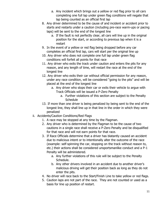- a. Any incident which brings out a yellow or red flag prior to all cars completing one full lap under green flag conditions will negate that lap being counted as an official first lap
- 8. Any driver determined to be the cause of and incident or accident prior to starts and restarts under a caution (including pre-race warm-ups or pacing laps) will be sent to the end of the longest line
	- a. If the fault is not perfectly clear, all cars will line up in the original position for the start, or according to previous lap when it is a restart
- 9. In the event of a yellow or red flag being dropped before any car completes an official first lap, cars will start per the original line up
- 10. Any driver who does not complete one full lap under green flag conditions will forfeit all points for that race
- 11. Any driver who exits the track under caution and enters the pits for any reason, and any length of time, will restart the race at the end of the longest line
- 12. Any driver who exits their car without official permission for any reason, under any race condition, will be considered "going to the pits" and will be placed at the end of the longest line
	- a. Any driver who stops their car or exits their vehicle to argue with Track Officials will be issued a P-Zero Penalty
		- a. Further violations of this section are subject to the Penalty **Schedule**
- 13. If more than one driver is being penalized by being sent to the end of the longest line, they shall line up in that line in the order in which they were penalized
- ii. Accidents/Caution Conditions/Red Flags
	- 1. A race may be stopped at any time by the Flagman.
	- 2. Any driver who is determined by the Flagman to be the cause of two cautions in a single race shall receive a P-Zero Penalty and be disqualified for that race and will not earn points for that race.
	- 3. If Race Officials determine that a driver has blatantly caused an accident due to malicious intent or to intentionally alter the outcome of the race (example: self-spinning the car, stopping on the track without reason to, etc.) their actions shall be considered unsportsmanlike conduct and a P-1 Penalty will be administered.
		- a. Any further violations of this rule will be subject to the Penalty Schedule.
		- b. Any other drivers involved in an accident due to another driver's malicious driving will get their position back as long as they do not enter the pits.
	- 4. No driver will race back to the Start/Finish Line to take yellow or red flags.
	- 5. Caution laps are not part of the race. They are not counted or used as a basis for line up position of restart.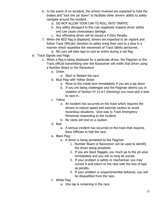- 6. In the event of an accident, the drivers involved are expected to hold the brakes and "lock the car down" to facilitate other drivers' ability to safely navigate around the incident.
	- a. DO NOT ALLOW YOUR CAR TO ROLL INTO TRAFFIC
	- b. Any willful disregard to this rule negatively impacts driver safety and can cause unnecessary damage.
	- c. Any offending driver will be issued a P-Zero Penalty.
- 7. When the RED flag is displayed, drivers are expected to be vigilant and follow Track Officials' direction to safely bring their cars to a stop in a manner which expedites the movement of Track Safety personnel.
	- a. NO cars will take laps to cool an entire during a red flag.
- iii. Track Signals and Flags
	- 1. When a flag is being displayed for a particular driver, the Flagman or the Track official transmitting over the Raceceiver will notify that driver using a Number Board or the Raceceiver
		- a. Green
			- a. Start or Restart the race
		- b. Blue Flag with Yellow Stripe
			- a. Move to the inside lane immediately if you are a lap down
			- b. If you are being challenged and the Flagman deems you in violation of Section IV-12-d-I (blocking) you must pick a lane to race in.
		- c. Yellow
			- a. An incident has occurred on the track which requires the drivers to reduce speed and exercise caution to avoid hazardous situations. Give way to Track Emergency Personnel responding to the incident.
			- b. No races will end on a caution.
		- d. Red
			- a. A serious incident has occurred on the track that requires Race Officials to halt the race.
		- e. Black Flag
			- a. A driver is being penalized by the Flagman
				- 1. Number Board or Raceceiver will be used to identify the driver being penalized.
				- 2. If you are black flagged, you much go to the pit area immediately and you will no long be scored.
				- 3. If your problem is safety or mechanical, you may correct it and return to the race with the loss of laps as penalty.
				- 4. If your problem is unsportsmanlike behavior, you will be disqualified from the race.
		- f. White Flag
			- a. One lap is remaining in the race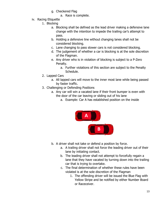- g. Checkered Flag
	- a. Race is complete.
- iv. Racing Etiquette
	- 1. Blocking
		- a. Blocking shall be defined as the lead driver making a defensive lane change with the intention to impede the trailing car's attempt to pass.
		- b. Holding a defensive line without changing lanes shall not be considered blocking.
		- c. Lane changing to pass slower cars is not considered blocking.
		- d. The judgement of whether a car is blocking is at the sole discretion of the Flagman.
		- e. Any driver who is in violation of blocking is subject to a P-Zero Penalty.
			- a. Further violations of this section are subject to the Penalty Schedule.
	- 2. Lapped Cars
		- a. All lapped cars will move to the inner most lane while being passed by faster traffic.
	- 3. Challenging or Defending Positions
		- a. Any car will win a vacated lane if their front bumper is even with the door of the car leaving or sliding out of his lane
			- a. Example: Car A has established position on the inside



- b. A driver shall not take or defend a position by force.
	- a. A trailing driver shall not force the leading driver out of their lane by initiating contact.
	- b. The leading driver shall not attempt to forcefully regain a lane that they have vacated by turning down into the trailing car that is trying to overtake.
	- c. The final determination of whether these rules have been violated is at the sole discretion of the Flagman
		- 1. The offending driver will be issued the Blue Flag with Yellow Stripe and be notified by either Number Board or Raceceiver.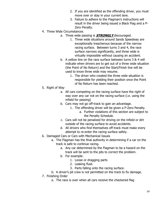- 2. If you are identified as the offending driver, you must move over or stay in your current lane.
- 3. Failure to adhere to the Flagman's instructions will result in the driver being issued a Black Flag and a P-Zero Penalty.
- 4. Three Wide Circumstances
	- a. Three wide passing is **STRONGLY** discouraged.
		- 1. Three wide situations around Sands Speedway are exceptionally treacherous because of the narrow racing surface. Between turns 3 and 4, the race surface narrows significantly, and three wide is virtually impossible without causing an accident.
		- b. A yellow line on the race surface between turns 3 & 4 will indicate when drivers are to get out of a three wide situation (the Point of No Return) and the Start/Finish line will be used to know three wide may resume.
			- 1. The driver who created the three wide situation is responsible for yielding their position once the Point of No Return has been reached.

#### 5. Right of Way

- a. All cars competing on the racing surface have the right of way over any car not on the racing surface (i.e. using the infield for passing)
- b. Cars may not go off-track to gain an advantage.
	- 1. The offending driver will be given a P-Zero Penalty.
		- a. Further violations of this section are subject to the Penalty Schedule.
- c. Cars will not be penalized for driving on the infield or dirt outside of the racing surface to avoid accidents.
- d. All drivers who find themselves off-track must make every attempt to re-enter the racing surface safely.
- 6. Damaged Cars or Cars with Mechanical Issues
	- a. The Flagman has the final authority in determining if a car on the track is safe to continue racing.
		- a. Any car determined by the Flagman to be a hazard on the track will be sent to the pits to correct the problem.
		- b. For example:
			- 1. Loose or dragging parts
			- 2. Leaking fluid.
			- 3. Parts falling onto the racing surface.
	- b. A driver's pit crew is not permitted on the track to fix damage.
- 7. Finishing Order
	- a. The race is over when all cars receive the checkered flag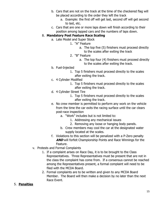- b. Cars that are not on the track at the time of the checkered flag will be placed according to the order they left the track
	- a. Example: the first off will get last, second off will get second to last, etc.
- c. Cars that are one or more laps down will finish according to their position among lapped cars and the numbers of laps down.

#### 8. **Mandatory Post Feature Race Scaling**

- a. Late Model and Super Stock
	- 1. "A" Feature
		- a. The top five (5) finishers must proceed directly to the scales after exiting the track
	- 2. "B" Feature
		- a. The top four (4) finishers must proceed directly to the scales after exiting the track.
- b. Fuel-Injected
	- 1. Top 5 finishers must proceed directly to the scales after exiting the track.
- c. 4 Cylinder Modified
	- 1. Top 5 finishers must proceed directly to the scales after exiting the track.
- d. 4 Cylinder Street Tire
	- 1. Top 5 finishers must proceed directly to the scales after exiting the track.
- e. No crew member is permitted to perform any work on the vehicle from the time the car exits the racing surface until the car clears post-race inspection
	- a. "Work" includes but is not limited to:
		- 1. Addressing any mechanical issues
		- 2. Removing any loose or hanging body panels.
	- b. Crew members may cool the car at the designated water supply located at the scales.
- f. Violations to this section will be penalized with a P-Zero penalty **AND** will forfeit Championship Points and Race Winnings for the Feature.
- v. Protests and Formal Complaints
	- 1. If a complaint arises on Race Day, it is to be brought to the Class Representatives. Three Representatives must be present that are not in the class the complaint has come from. If a consensus cannot be reached among the Representatives present, a formal complaint will need to be filed with the MCDA Board.
	- 2. Formal complaints are to be written and given to any MCDA Board Member. The Board will then make a decision by no later than the next Race Event.

#### 5. **Penalties**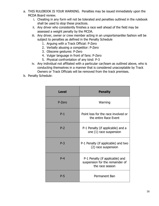- a. THIS RULEBOOK IS YOUR WARNING. Penalties may be issued immediately upon the MCDA Board review.
	- i. Cheating in any form will not be tolerated and penalties outlined in the rulebook shall be used to stop these practices.
	- ii. Any driver who consistently finishes a race well ahead of the field may be assessed a weight penalty by the MCDA.
	- iii. Any driver, owner or crew member acting in an unsportsmanlike fashion will be subject to penalties as defined in the Penalty Schedule
		- 1. Arguing with a Track Official: P-Zero
		- 2. Verbally abusing a competitor: P-Zero
		- 3. Obscene gestures: P-Zero
		- 4. Vulgar language in front of fans: P-Zero
		- 5. Physical confrontation of any kind: P-3
	- iv. Any individual not affiliated with a particular car/team as outlined above, who is conducting themselves in a manner that is considered unacceptable by Track Owners or Track Officials will be removed from the track premises.
- b. Penalty Schedule:

| <b>Level</b> | <b>Penalty</b>                                                                        |  |  |
|--------------|---------------------------------------------------------------------------------------|--|--|
| P-Zero       | Warning                                                                               |  |  |
| $P-1$        | Point loss for the race involved or<br>the entire Race Event                          |  |  |
| $P-2$        | P-1 Penalty (if applicable) and a<br>one (1) race suspension                          |  |  |
| $P-3$        | P-1 Penalty (if applicable) and two<br>(2) race suspension                            |  |  |
| $P-4$        | P-1 Penalty (if applicable) and<br>suspension for the remainder of<br>the race season |  |  |
| <b>P-5</b>   | Permanent Ban                                                                         |  |  |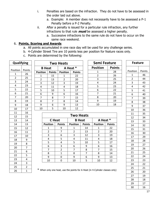- i. Penalties are based on the infraction. They do not have to be assessed in the order laid out above.
	- a. Example: A member does not necessarily have to be assessed a P-1 Penalty before a P-2 Penalty.
- ii. After a penalty is issued for a particular rule infraction, any further infractions to that rule **must** be assessed a higher penalty.
	- a. Successive infractions to the same rule do not have to occur on the same race weekend.

#### 6. **Points, Scoring and Awards**

- a. All points accumulated in one race day will be used for any challenge series.
- b. 4-Cylinder Street Tire are 10 points less per position for feature races only.
- c. Points are determined by the following:

| Qualifying     |                |  |   |
|----------------|----------------|--|---|
| Position       | Points         |  |   |
| 1              | 26             |  | F |
| $\overline{c}$ | 25             |  |   |
| 3              | 24             |  |   |
| 4              | 23             |  |   |
|                | 22             |  |   |
| 6              | 21             |  |   |
| 7              | 20             |  |   |
| 8              | 19             |  |   |
| 9              | 18             |  |   |
| 10             | 17             |  |   |
| 11             | 16             |  |   |
| 12             | 15             |  |   |
| 13             | 14             |  |   |
| 14             | 13             |  |   |
| 15             | 12             |  |   |
| 16             | 11             |  |   |
| 17             | 10             |  |   |
| 18             | 9              |  |   |
| 19             | 8              |  |   |
| 20             | 7              |  |   |
| 21             | 6              |  |   |
| 22             | 5              |  |   |
| 23             | 4              |  |   |
| 24             | $\frac{3}{2}$  |  |   |
| 25             |                |  |   |
| 26             | $\overline{1}$ |  |   |

| <b>Two Heats</b> |               |                 |               |  |  |  |  |
|------------------|---------------|-----------------|---------------|--|--|--|--|
| <b>B</b> Heat    |               | A Heat *        |               |  |  |  |  |
| <b>Position</b>  | <b>Points</b> | <b>Position</b> | <b>Points</b> |  |  |  |  |
| 1                | 15            | 1               | 22            |  |  |  |  |
| 2                | 13            | $\overline{2}$  | 20            |  |  |  |  |
| 3                | 12            | 3               | 19            |  |  |  |  |
| 4                | 11            | 4               | 18            |  |  |  |  |
| 5                | 10            | 5               | 17            |  |  |  |  |
| 6                | 9             | 6               | 16            |  |  |  |  |
| 7                | 8             | 7               | 15            |  |  |  |  |
| 8                | 7             | 8               | 14            |  |  |  |  |
| 9                | 6             | 9               | 13            |  |  |  |  |
| 10               | 5             | 10              | 12            |  |  |  |  |

| Semi Feature |               |  |  |
|--------------|---------------|--|--|
| Position     | <b>Points</b> |  |  |
| 1            | 28            |  |  |
| 2            | 26            |  |  |
| 3            | 25            |  |  |
| 4            | 24            |  |  |
| 5            | 23            |  |  |
| 6            | 22            |  |  |
| 7            | 21            |  |  |
| 8            | 20            |  |  |
| 9            | 19            |  |  |
| 10           | 18            |  |  |
|              |               |  |  |

| <b>Two Heats</b> |               |                 |               |                 |               |  |
|------------------|---------------|-----------------|---------------|-----------------|---------------|--|
| C Heat           |               | <b>B</b> Heat   |               | A Heat *        |               |  |
| <b>Position</b>  | <b>Points</b> | <b>Position</b> | <b>Points</b> | <b>Position</b> | <b>Points</b> |  |
| 1                | 9             | 1               | 14            | 1               | 22            |  |
| 2                | 7             | $\overline{2}$  | 13            | $\overline{2}$  | 20            |  |
| 3                | 6             | 3               | 12            | 3               | 19            |  |
| 4                | 5             | 4               | 11            | 4               | 18            |  |
| 5                | 4             | 5               | 10            | 5               | 17            |  |
| 6                | 3             | 6               | 9             | 6               | 16            |  |
| 7                | 2             | 7               | 8             |                 | 15            |  |
| 8                | $\mathbf{1}$  | 8               | 7             | 8               | 14            |  |
| 9                | ŋ             | 9               | 6             | 9               | 13            |  |
| 10               | ი             | 10              | 5             | 10              | 12            |  |

**Feature**

Position Points 46

 $*$  When only one heat, use the points for A Heat (in 4-Cylinder classes only)